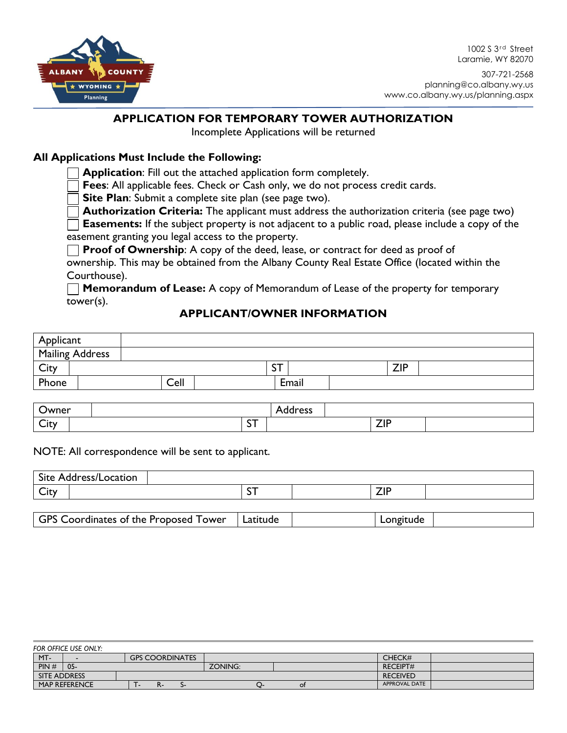

1002 S 3<sup>rd</sup> Street Laramie, WY 82070

307-721-2568 planning@co.albany.wy.us www.co.albany.wy.us/planning.aspx

## **APPLICATION FOR TEMPORARY TOWER AUTHORIZATION**

Incomplete Applications will be returned

## **All Applications Must Include the Following:**

**Application**: Fill out the attached application form completely.

**Fees**: All applicable fees. Check or Cash only, we do not process credit cards.

**Site Plan**: Submit a complete site plan (see page two).

**Authorization Criteria:** The applicant must address the authorization criteria (see page two)

**Easements:** If the subject property is not adjacent to a public road, please include a copy of the easement granting you legal access to the property.

**Proof of Ownership:** A copy of the deed, lease, or contract for deed as proof of

ownership. This may be obtained from the Albany County Real Estate Office (located within the Courthouse).

**Memorandum of Lease:** A copy of Memorandum of Lease of the property for temporary tower(s).

## **APPLICANT/OWNER INFORMATION**

| Applicant              |      |              |       |            |  |
|------------------------|------|--------------|-------|------------|--|
| <b>Mailing Address</b> |      |              |       |            |  |
| City                   |      | $\sim$<br>эı |       | <b>ZIP</b> |  |
| Phone                  | Cell |              | Email |            |  |

| Owner                                     |                      | $ n$ $\alpha$ cc<br>ככס וטטר |              |  |
|-------------------------------------------|----------------------|------------------------------|--------------|--|
| $\overline{\phantom{a}}$<br>$+ +$<br>UIL. | $\sim$<br><u>J I</u> |                              | ラロ<br>$\sim$ |  |

#### NOTE: All correspondence will be sent to applicant.

| Site Address/Location                        |          |           |  |
|----------------------------------------------|----------|-----------|--|
| City                                         | ັ        | ZIP       |  |
|                                              |          |           |  |
| <b>GPS Coordinates of the Proposed Tower</b> | Latitude | Longitude |  |

| FOR OFFICE USE ONLY: |                      |  |  |                        |         |  |  |    |  |                      |  |
|----------------------|----------------------|--|--|------------------------|---------|--|--|----|--|----------------------|--|
| MT-                  |                      |  |  | <b>GPS COORDINATES</b> |         |  |  |    |  | CHECK#               |  |
| PIN#                 | $05 -$               |  |  |                        | ZONING: |  |  |    |  | <b>RECEIPT#</b>      |  |
| SITE ADDRESS         |                      |  |  |                        |         |  |  |    |  | <b>RECEIVED</b>      |  |
|                      | <b>MAP REFERENCE</b> |  |  |                        |         |  |  | Οt |  | <b>APPROVAL DATE</b> |  |